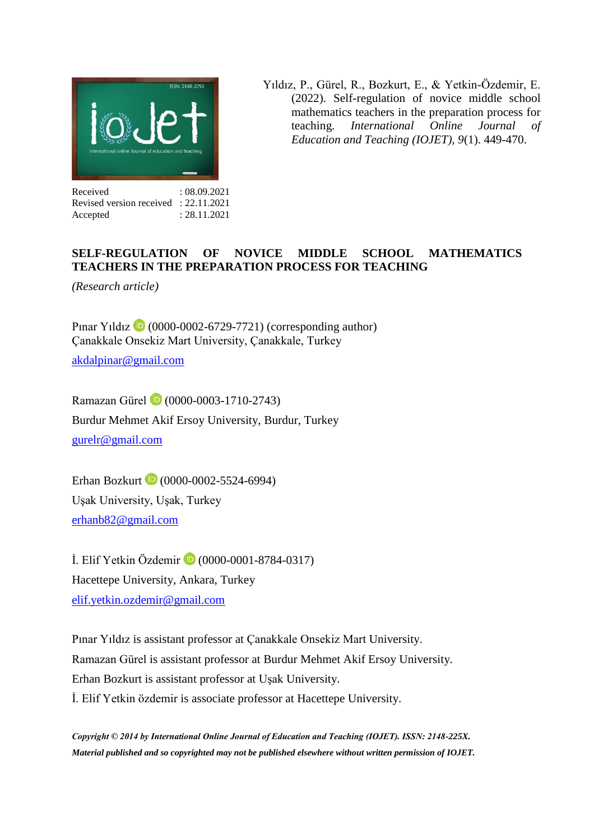

Yıldız, P., Gürel, R., Bozkurt, E., & Yetkin-Özdemir, E. (2022). Self-regulation of novice middle school mathematics teachers in the preparation process for teaching. *International Online Journal of Education and Teaching (IOJET), 9*(1). 449-470.

Received : 08.09.2021 Revised version received : 22.11.2021 Accepted : 28.11.2021

## **SELF-REGULATION OF NOVICE MIDDLE SCHOOL MATHEMATICS TEACHERS IN THE PREPARATION PROCESS FOR TEACHING**

*(Research article)* 

Pinar Yıldız  $\bullet$  (0000-0002-6729-7721) (corresponding author) Çanakkale Onsekiz Mart University, Çanakkale, Turkey [akdalpinar@gmail.com](mailto:akdalpinar@gmail.com)

Ramazan Gürel (0000-0003-1710-2743) Burdur Mehmet Akif Ersoy University, Burdur, Turkey [gurelr@gmail.com](mailto:gurelr@gmail.com)

ErhanBozkurt (20000-0002-5524-6994) Uşak University, Uşak, Turkey [erhanb82@gmail.com](mailto:erhanb82@gmail.com)

İ. Elif Yetkin Özdemir (0000-0001-8784-0317) Hacettepe University, Ankara, Turkey [elif.yetkin.ozdemir@gmail.com](mailto:elif.yetkin.ozdemir@gmail.com)

Pınar Yıldız is assistant professor at Çanakkale Onsekiz Mart University. Ramazan Gürel is assistant professor at Burdur Mehmet Akif Ersoy University. Erhan Bozkurt is assistant professor at Uşak University. İ. Elif Yetkin özdemir is associate professor at Hacettepe University.

*Copyright © 2014 by International Online Journal of Education and Teaching (IOJET). ISSN: 2148-225X. Material published and so copyrighted may not be published elsewhere without written permission of IOJET.*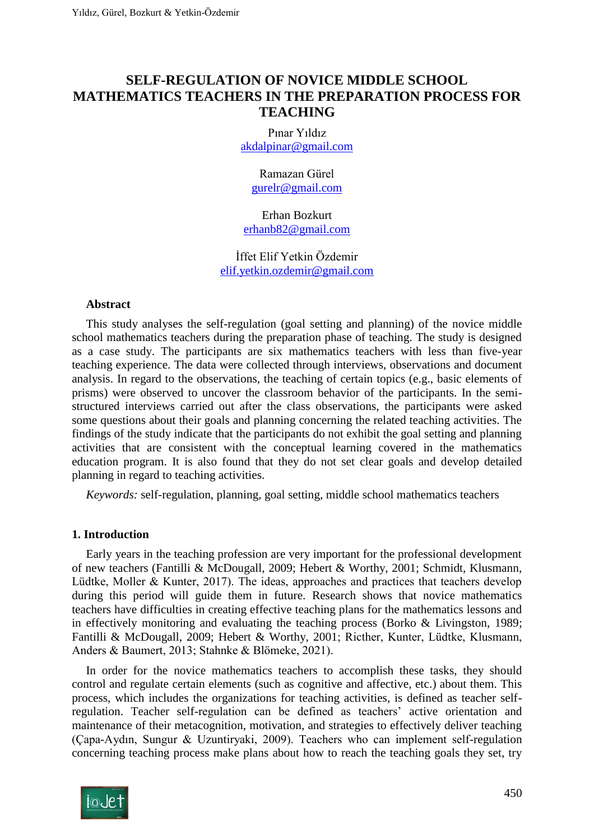# **SELF-REGULATION OF NOVICE MIDDLE SCHOOL MATHEMATICS TEACHERS IN THE PREPARATION PROCESS FOR TEACHING**

Pınar Yıldız [akdalpinar@gmail.com](mailto:akdalpinar@gmail.com)

> Ramazan Gürel [gurelr@gmail.com](mailto:gurelr@gmail.com)

Erhan Bozkurt [erhanb82@gmail.com](mailto:erhanb82@gmail.com)

İffet Elif Yetkin Özdemir [elif.yetkin.ozdemir@gmail.com](mailto:elif.yetkin.ozdemir@gmail.com)

#### **Abstract**

This study analyses the self-regulation (goal setting and planning) of the novice middle school mathematics teachers during the preparation phase of teaching. The study is designed as a case study. The participants are six mathematics teachers with less than five-year teaching experience. The data were collected through interviews, observations and document analysis. In regard to the observations, the teaching of certain topics (e.g., basic elements of prisms) were observed to uncover the classroom behavior of the participants. In the semistructured interviews carried out after the class observations, the participants were asked some questions about their goals and planning concerning the related teaching activities. The findings of the study indicate that the participants do not exhibit the goal setting and planning activities that are consistent with the conceptual learning covered in the mathematics education program. It is also found that they do not set clear goals and develop detailed planning in regard to teaching activities.

*Keywords:* self-regulation, planning, goal setting, middle school mathematics teachers

#### **1. Introduction**

Early years in the teaching profession are very important for the professional development of new teachers (Fantilli & McDougall, 2009; Hebert & Worthy, 2001; Schmidt, Klusmann, Lüdtke, Moller & Kunter, 2017). The ideas, approaches and practices that teachers develop during this period will guide them in future. Research shows that novice mathematics teachers have difficulties in creating effective teaching plans for the mathematics lessons and in effectively monitoring and evaluating the teaching process [\(Borko & Livingston, 1989;](#page-19-0) Fantilli & McDougall, 2009; Hebert & Worthy, 2001; Ricther, Kunter, Lüdtke, Klusmann, Anders & Baumert, 2013; Stahnke & Blömeke, 2021).

In order for the novice mathematics teachers to accomplish these tasks, they should control and regulate certain elements (such as cognitive and affective, etc.) about them. This process, which includes the organizations for teaching activities, is defined as teacher selfregulation. Teacher self-regulation can be defined as teachers' active orientation and maintenance of their metacognition, motivation, and strategies to effectively deliver teaching (Çapa-Aydın, Sungur & Uzuntiryaki, 2009). Teachers who can implement self-regulation concerning teaching process make plans about how to reach the teaching goals they set, try

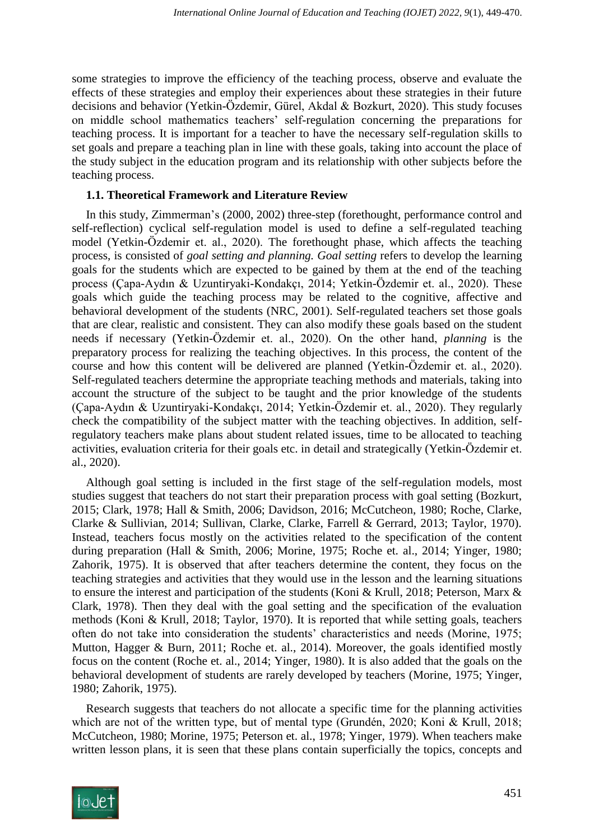some strategies to improve the efficiency of the teaching process, observe and evaluate the effects of these strategies and employ their experiences about these strategies in their future decisions and behavior (Yetkin-Özdemir, Gürel, Akdal & Bozkurt, 2020). This study focuses on middle school mathematics teachers' self-regulation concerning the preparations for teaching process. It is important for a teacher to have the necessary self-regulation skills to set goals and prepare a teaching plan in line with these goals, taking into account the place of the study subject in the education program and its relationship with other subjects before the teaching process.

## **1.1. Theoretical Framework and Literature Review**

In this study, Zimmerman's (2000, 2002) three-step (forethought, performance control and self-reflection) cyclical self-regulation model is used to define a self-regulated teaching model (Yetkin-Özdemir et. al., 2020). The forethought phase, which affects the teaching process, is consisted of *goal setting and planning. Goal setting* refers to develop the learning goals for the students which are expected to be gained by them at the end of the teaching process (Çapa-Aydın & Uzuntiryaki-Kondakçı, 2014; Yetkin-Özdemir et. al., 2020). These goals which guide the teaching process may be related to the cognitive, affective and behavioral development of the students (NRC, 2001). Self-regulated teachers set those goals that are clear, realistic and consistent. They can also modify these goals based on the student needs if necessary (Yetkin-Özdemir et. al., 2020). On the other hand, *planning* is the preparatory process for realizing the teaching objectives. In this process, the content of the course and how this content will be delivered are planned (Yetkin-Özdemir et. al., 2020). Self-regulated teachers determine the appropriate teaching methods and materials, taking into account the structure of the subject to be taught and the prior knowledge of the students (Çapa-Aydın & Uzuntiryaki-Kondakçı, 2014; Yetkin-Özdemir et. al., 2020). They regularly check the compatibility of the subject matter with the teaching objectives. In addition, selfregulatory teachers make plans about student related issues, time to be allocated to teaching activities, evaluation criteria for their goals etc. in detail and strategically (Yetkin-Özdemir et. al., 2020).

Although goal setting is included in the first stage of the self-regulation models, most studies suggest that teachers do not start their preparation process with goal setting (Bozkurt, 2015; Clark, 1978; Hall & Smith, 2006; Davidson, 2016; McCutcheon, 1980; Roche, Clarke, Clarke & Sullivian, 2014; Sullivan, Clarke, Clarke, Farrell & Gerrard, 2013; Taylor, 1970). Instead, teachers focus mostly on the activities related to the specification of the content during preparation (Hall & Smith, 2006; Morine, 1975; Roche et. al., 2014; Yinger, 1980; Zahorik, 1975). It is observed that after teachers determine the content, they focus on the teaching strategies and activities that they would use in the lesson and the learning situations to ensure the interest and participation of the students (Koni & Krull, 2018; Peterson, Marx & Clark, 1978). Then they deal with the goal setting and the specification of the evaluation methods (Koni & Krull, 2018; Taylor, 1970). It is reported that while setting goals, teachers often do not take into consideration the students' characteristics and needs (Morine, 1975; Mutton, Hagger & Burn, 2011; Roche et. al., 2014). Moreover, the goals identified mostly focus on the content (Roche et. al., 2014; Yinger, 1980). It is also added that the goals on the behavioral development of students are rarely developed by teachers (Morine, 1975; Yinger, 1980; Zahorik, 1975).

Research suggests that teachers do not allocate a specific time for the planning activities which are not of the written type, but of mental type (Grundén, 2020; Koni & Krull, 2018; McCutcheon, 1980; Morine, 1975; Peterson et. al., 1978; Yinger, 1979). When teachers make written lesson plans, it is seen that these plans contain superficially the topics, concepts and

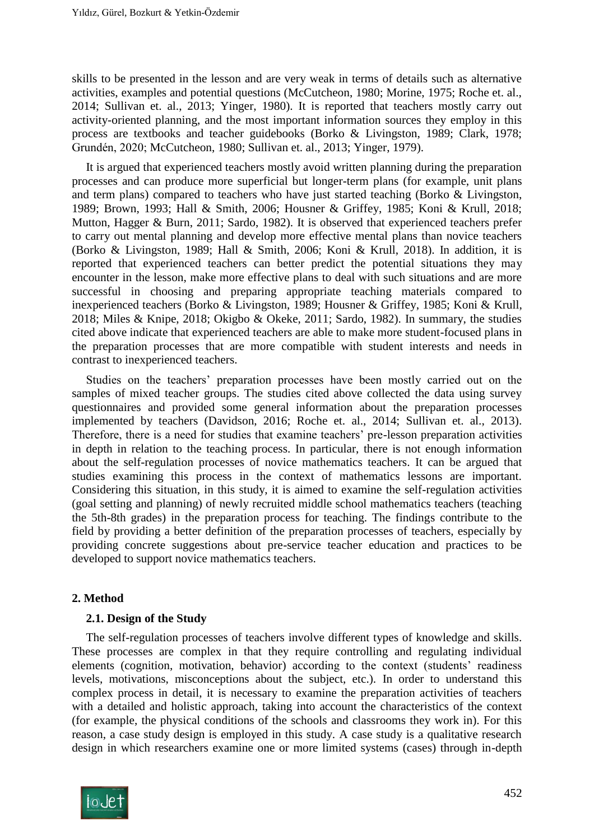skills to be presented in the lesson and are very weak in terms of details such as alternative activities, examples and potential questions (McCutcheon, 1980; Morine, 1975; Roche et. al., 2014; Sullivan et. al., 2013; Yinger, 1980). It is reported that teachers mostly carry out activity-oriented planning, and the most important information sources they employ in this process are textbooks and teacher guidebooks (Borko & Livingston, 1989; Clark, 1978; Grundén, 2020; McCutcheon, 1980; Sullivan et. al., 2013; Yinger, 1979).

It is argued that experienced teachers mostly avoid written planning during the preparation processes and can produce more superficial but longer-term plans (for example, unit plans and term plans) compared to teachers who have just started teaching (Borko & Livingston, 1989; Brown, 1993; Hall & Smith, 2006; Housner & Griffey, 1985; Koni & Krull, 2018; Mutton, Hagger & Burn, 2011; Sardo, 1982). It is observed that experienced teachers prefer to carry out mental planning and develop more effective mental plans than novice teachers (Borko & Livingston, 1989; Hall & Smith, 2006; Koni & Krull, 2018). In addition, it is reported that experienced teachers can better predict the potential situations they may encounter in the lesson, make more effective plans to deal with such situations and are more successful in choosing and preparing appropriate teaching materials compared to inexperienced teachers (Borko & Livingston, 1989; Housner & Griffey, 1985; Koni & Krull, 2018; Miles & Knipe, 2018; Okigbo & Okeke, 2011; Sardo, 1982). In summary, the studies cited above indicate that experienced teachers are able to make more student-focused plans in the preparation processes that are more compatible with student interests and needs in contrast to inexperienced teachers.

Studies on the teachers' preparation processes have been mostly carried out on the samples of mixed teacher groups. The studies cited above collected the data using survey questionnaires and provided some general information about the preparation processes implemented by teachers (Davidson, 2016; Roche et. al., 2014; Sullivan et. al., 2013). Therefore, there is a need for studies that examine teachers' pre-lesson preparation activities in depth in relation to the teaching process. In particular, there is not enough information about the self-regulation processes of novice mathematics teachers. It can be argued that studies examining this process in the context of mathematics lessons are important. Considering this situation, in this study, it is aimed to examine the self-regulation activities (goal setting and planning) of newly recruited middle school mathematics teachers (teaching the 5th-8th grades) in the preparation process for teaching. The findings contribute to the field by providing a better definition of the preparation processes of teachers, especially by providing concrete suggestions about pre-service teacher education and practices to be developed to support novice mathematics teachers.

## **2. Method**

#### **2.1. Design of the Study**

The self-regulation processes of teachers involve different types of knowledge and skills. These processes are complex in that they require controlling and regulating individual elements (cognition, motivation, behavior) according to the context (students' readiness levels, motivations, misconceptions about the subject, etc.). In order to understand this complex process in detail, it is necessary to examine the preparation activities of teachers with a detailed and holistic approach, taking into account the characteristics of the context (for example, the physical conditions of the schools and classrooms they work in). For this reason, a case study design is employed in this study. A case study is a qualitative research design in which researchers examine one or more limited systems (cases) through in-depth

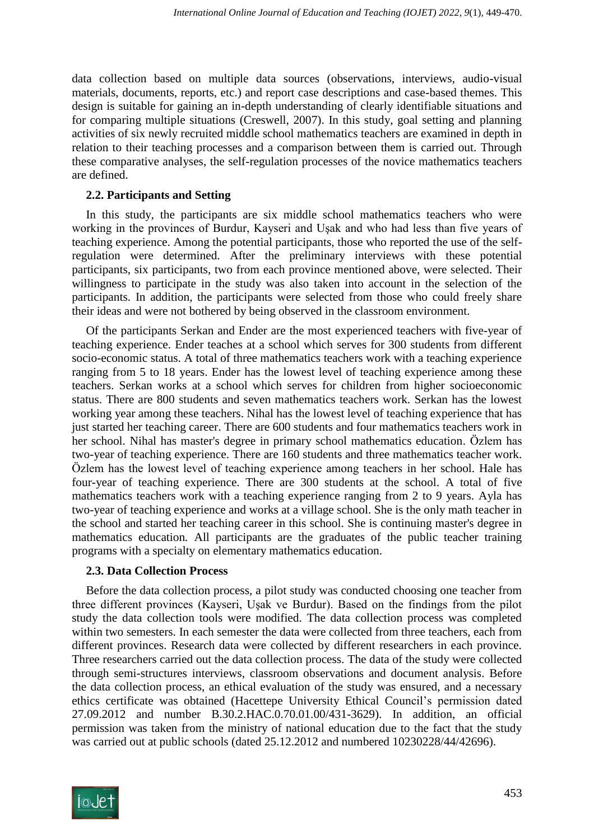data collection based on multiple data sources (observations, interviews, audio-visual materials, documents, reports, etc.) and report case descriptions and case-based themes. This design is suitable for gaining an in-depth understanding of clearly identifiable situations and for comparing multiple situations (Creswell, 2007). In this study, goal setting and planning activities of six newly recruited middle school mathematics teachers are examined in depth in relation to their teaching processes and a comparison between them is carried out. Through these comparative analyses, the self-regulation processes of the novice mathematics teachers are defined.

## **2.2. Participants and Setting**

In this study, the participants are six middle school mathematics teachers who were working in the provinces of Burdur, Kayseri and Uşak and who had less than five years of teaching experience. Among the potential participants, those who reported the use of the selfregulation were determined. After the preliminary interviews with these potential participants, six participants, two from each province mentioned above, were selected. Their willingness to participate in the study was also taken into account in the selection of the participants. In addition, the participants were selected from those who could freely share their ideas and were not bothered by being observed in the classroom environment.

Of the participants Serkan and Ender are the most experienced teachers with five-year of teaching experience. Ender teaches at a school which serves for 300 students from different socio-economic status. A total of three mathematics teachers work with a teaching experience ranging from 5 to 18 years. Ender has the lowest level of teaching experience among these teachers. Serkan works at a school which serves for children from higher socioeconomic status. There are 800 students and seven mathematics teachers work. Serkan has the lowest working year among these teachers. Nihal has the lowest level of teaching experience that has just started her teaching career. There are 600 students and four mathematics teachers work in her school. Nihal has master's degree in primary school mathematics education. Özlem has two-year of teaching experience. There are 160 students and three mathematics teacher work. Özlem has the lowest level of teaching experience among teachers in her school. Hale has four-year of teaching experience. There are 300 students at the school. A total of five mathematics teachers work with a teaching experience ranging from 2 to 9 years. Ayla has two-year of teaching experience and works at a village school. She is the only math teacher in the school and started her teaching career in this school. She is continuing master's degree in mathematics education*.* All participants are the graduates of the public teacher training programs with a specialty on elementary mathematics education.

#### **2.3. Data Collection Process**

Before the data collection process, a pilot study was conducted choosing one teacher from three different provinces (Kayseri, Uşak ve Burdur). Based on the findings from the pilot study the data collection tools were modified. The data collection process was completed within two semesters. In each semester the data were collected from three teachers, each from different provinces. Research data were collected by different researchers in each province. Three researchers carried out the data collection process. The data of the study were collected through semi-structures interviews, classroom observations and document analysis. Before the data collection process, an ethical evaluation of the study was ensured, and a necessary ethics certificate was obtained (Hacettepe University Ethical Council's permission dated 27.09.2012 and number B.30.2.HAC.0.70.01.00/431-3629). In addition, an official permission was taken from the ministry of national education due to the fact that the study was carried out at public schools (dated 25.12.2012 and numbered 10230228/44/42696).

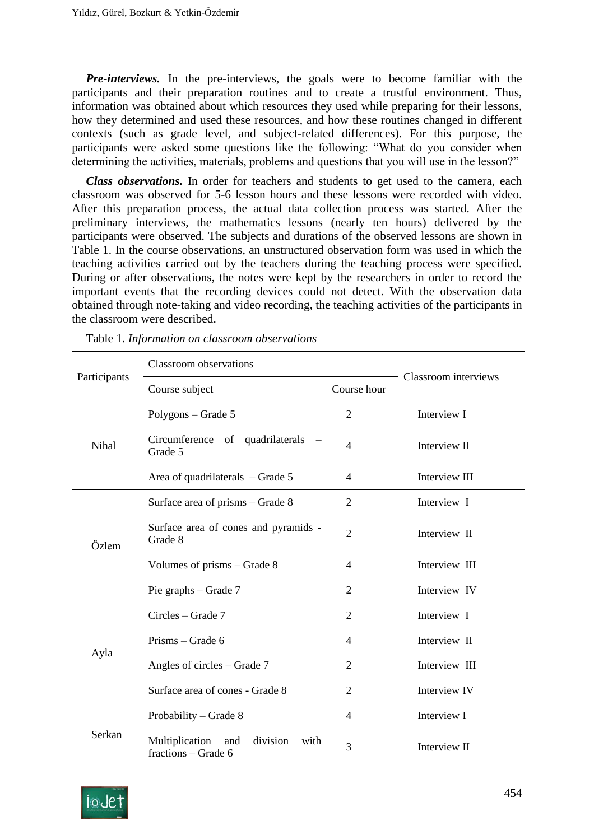*Pre-interviews.* In the pre-interviews, the goals were to become familiar with the participants and their preparation routines and to create a trustful environment. Thus, information was obtained about which resources they used while preparing for their lessons, how they determined and used these resources, and how these routines changed in different contexts (such as grade level, and subject-related differences). For this purpose, the participants were asked some questions like the following: "What do you consider when determining the activities, materials, problems and questions that you will use in the lesson?"

*Class observations.* In order for teachers and students to get used to the camera, each classroom was observed for 5-6 lesson hours and these lessons were recorded with video. After this preparation process, the actual data collection process was started. After the preliminary interviews, the mathematics lessons (nearly ten hours) delivered by the participants were observed. The subjects and durations of the observed lessons are shown in Table 1. In the course observations, an unstructured observation form was used in which the teaching activities carried out by the teachers during the teaching process were specified. During or after observations, the notes were kept by the researchers in order to record the important events that the recording devices could not detect. With the observation data obtained through note-taking and video recording, the teaching activities of the participants in the classroom were described.

| Participants | <b>Classroom</b> observations                                    |                |                      |
|--------------|------------------------------------------------------------------|----------------|----------------------|
|              | Course subject                                                   | Course hour    | Classroom interviews |
| Nihal        | Polygons – Grade 5                                               | $\overline{2}$ | Interview I          |
|              | Circumference of quadrilaterals<br>Grade 5                       | $\overline{4}$ | Interview II         |
|              | Area of quadrilaterals $-$ Grade 5                               | 4              | Interview III        |
| Özlem        | Surface area of prisms – Grade 8                                 | $\overline{2}$ | Interview I          |
|              | Surface area of cones and pyramids -<br>Grade 8                  | $\overline{2}$ | Interview II         |
|              | Volumes of prisms – Grade 8                                      | 4              | Interview III        |
|              | Pie graphs $-$ Grade 7                                           | $\overline{2}$ | Interview IV         |
| Ayla         | Circles - Grade 7                                                | $\overline{2}$ | Interview I          |
|              | Prisms – Grade 6                                                 | 4              | Interview II         |
|              | Angles of circles $-$ Grade 7                                    | $\overline{2}$ | Interview III        |
|              | Surface area of cones - Grade 8                                  | $\overline{2}$ | Interview IV         |
| Serkan       | Probability – Grade 8                                            | $\overline{4}$ | Interview I          |
|              | Multiplication<br>division<br>and<br>with<br>fractions - Grade 6 | 3              | Interview II         |

Table 1. *Information on classroom observations*

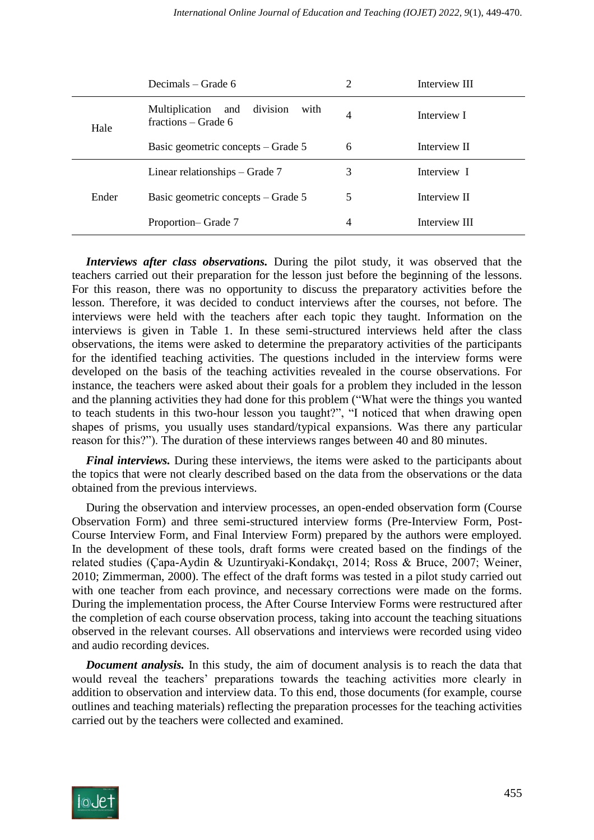|       | Decimals – Grade 6                                                 | 2 | Interview III |
|-------|--------------------------------------------------------------------|---|---------------|
| Hale  | division<br>Multiplication<br>with<br>and<br>fractions – Grade $6$ | 4 | Interview I   |
|       | Basic geometric concepts – Grade 5                                 | 6 | Interview II  |
| Ender | Linear relationships $-$ Grade 7                                   | 3 | Interview I   |
|       | Basic geometric concepts – Grade 5                                 | 5 | Interview II  |
|       | Proportion-Grade 7                                                 | 4 | Interview III |

*Interviews after class observations.* During the pilot study, it was observed that the teachers carried out their preparation for the lesson just before the beginning of the lessons. For this reason, there was no opportunity to discuss the preparatory activities before the lesson. Therefore, it was decided to conduct interviews after the courses, not before. The interviews were held with the teachers after each topic they taught. Information on the interviews is given in Table 1. In these semi-structured interviews held after the class observations, the items were asked to determine the preparatory activities of the participants for the identified teaching activities. The questions included in the interview forms were developed on the basis of the teaching activities revealed in the course observations. For instance, the teachers were asked about their goals for a problem they included in the lesson and the planning activities they had done for this problem ("What were the things you wanted to teach students in this two-hour lesson you taught?", "I noticed that when drawing open shapes of prisms, you usually uses standard/typical expansions. Was there any particular reason for this?"). The duration of these interviews ranges between 40 and 80 minutes.

*Final interviews.* During these interviews, the items were asked to the participants about the topics that were not clearly described based on the data from the observations or the data obtained from the previous interviews.

During the observation and interview processes, an open-ended observation form (Course Observation Form) and three semi-structured interview forms (Pre-Interview Form, Post-Course Interview Form, and Final Interview Form) prepared by the authors were employed. In the development of these tools, draft forms were created based on the findings of the related studies (Çapa-Aydin & Uzuntiryaki-Kondakçı, 2014; Ross & Bruce, 2007; Weiner, 2010; Zimmerman, 2000). The effect of the draft forms was tested in a pilot study carried out with one teacher from each province, and necessary corrections were made on the forms. During the implementation process, the After Course Interview Forms were restructured after the completion of each course observation process, taking into account the teaching situations observed in the relevant courses. All observations and interviews were recorded using video and audio recording devices.

*Document analysis.* In this study, the aim of document analysis is to reach the data that would reveal the teachers' preparations towards the teaching activities more clearly in addition to observation and interview data. To this end, those documents (for example, course outlines and teaching materials) reflecting the preparation processes for the teaching activities carried out by the teachers were collected and examined.

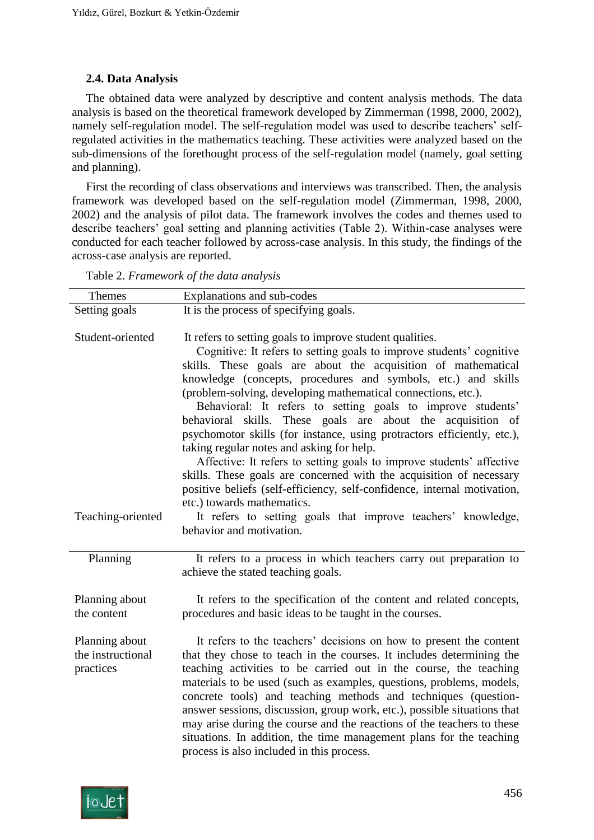## **2.4. Data Analysis**

The obtained data were analyzed by descriptive and content analysis methods. The data analysis is based on the theoretical framework developed by Zimmerman (1998, 2000, 2002), namely self-regulation model. The self-regulation model was used to describe teachers' selfregulated activities in the mathematics teaching. These activities were analyzed based on the sub-dimensions of the forethought process of the self-regulation model (namely, goal setting and planning).

First the recording of class observations and interviews was transcribed. Then, the analysis framework was developed based on the self-regulation model (Zimmerman, 1998, 2000, 2002) and the analysis of pilot data. The framework involves the codes and themes used to describe teachers' goal setting and planning activities (Table 2). Within-case analyses were conducted for each teacher followed by across-case analysis. In this study, the findings of the across-case analysis are reported.

| Themes                              | Explanations and sub-codes                                                                                                                 |
|-------------------------------------|--------------------------------------------------------------------------------------------------------------------------------------------|
| Setting goals                       | It is the process of specifying goals.                                                                                                     |
|                                     |                                                                                                                                            |
| Student-oriented                    | It refers to setting goals to improve student qualities.                                                                                   |
|                                     | Cognitive: It refers to setting goals to improve students' cognitive                                                                       |
|                                     | skills. These goals are about the acquisition of mathematical                                                                              |
|                                     | knowledge (concepts, procedures and symbols, etc.) and skills<br>(problem-solving, developing mathematical connections, etc.).             |
|                                     | Behavioral: It refers to setting goals to improve students'                                                                                |
|                                     | behavioral skills. These goals are about the acquisition of                                                                                |
|                                     | psychomotor skills (for instance, using protractors efficiently, etc.),                                                                    |
|                                     | taking regular notes and asking for help.                                                                                                  |
|                                     | Affective: It refers to setting goals to improve students' affective                                                                       |
|                                     | skills. These goals are concerned with the acquisition of necessary                                                                        |
|                                     | positive beliefs (self-efficiency, self-confidence, internal motivation,                                                                   |
|                                     | etc.) towards mathematics.                                                                                                                 |
| Teaching-oriented                   | It refers to setting goals that improve teachers' knowledge,                                                                               |
|                                     | behavior and motivation.                                                                                                                   |
|                                     |                                                                                                                                            |
| Planning                            | It refers to a process in which teachers carry out preparation to                                                                          |
|                                     | achieve the stated teaching goals.                                                                                                         |
|                                     |                                                                                                                                            |
| Planning about                      | It refers to the specification of the content and related concepts,                                                                        |
| the content                         | procedures and basic ideas to be taught in the courses.                                                                                    |
|                                     |                                                                                                                                            |
| Planning about<br>the instructional | It refers to the teachers' decisions on how to present the content<br>that they chose to teach in the courses. It includes determining the |
| practices                           | teaching activities to be carried out in the course, the teaching                                                                          |
|                                     | materials to be used (such as examples, questions, problems, models,                                                                       |
|                                     | concrete tools) and teaching methods and techniques (question-                                                                             |
|                                     | answer sessions, discussion, group work, etc.), possible situations that                                                                   |
|                                     | may arise during the course and the reactions of the teachers to these                                                                     |
|                                     | situations. In addition, the time management plans for the teaching                                                                        |
|                                     | process is also included in this process.                                                                                                  |

Table 2. *Framework of the data analysis*

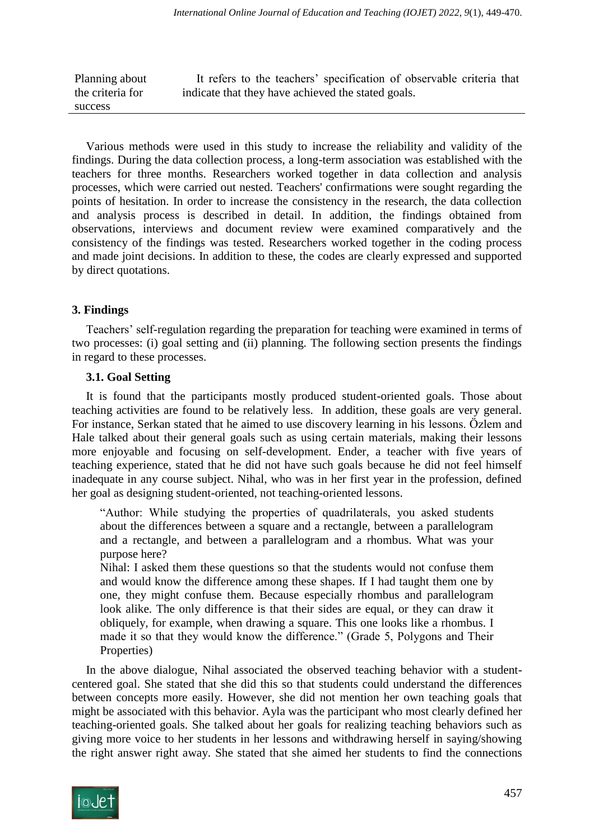Planning about the criteria for success It refers to the teachers' specification of observable criteria that indicate that they have achieved the stated goals.

Various methods were used in this study to increase the reliability and validity of the findings. During the data collection process, a long-term association was established with the teachers for three months. Researchers worked together in data collection and analysis processes, which were carried out nested. Teachers' confirmations were sought regarding the points of hesitation. In order to increase the consistency in the research, the data collection and analysis process is described in detail. In addition, the findings obtained from observations, interviews and document review were examined comparatively and the consistency of the findings was tested. Researchers worked together in the coding process and made joint decisions. In addition to these, the codes are clearly expressed and supported by direct quotations.

#### **3. Findings**

Teachers' self-regulation regarding the preparation for teaching were examined in terms of two processes: (i) goal setting and (ii) planning. The following section presents the findings in regard to these processes.

#### **3.1. Goal Setting**

It is found that the participants mostly produced student-oriented goals. Those about teaching activities are found to be relatively less. In addition, these goals are very general. For instance, Serkan stated that he aimed to use discovery learning in his lessons. Özlem and Hale talked about their general goals such as using certain materials, making their lessons more enjoyable and focusing on self-development. Ender, a teacher with five years of teaching experience, stated that he did not have such goals because he did not feel himself inadequate in any course subject. Nihal, who was in her first year in the profession, defined her goal as designing student-oriented, not teaching-oriented lessons.

"Author: While studying the properties of quadrilaterals, you asked students about the differences between a square and a rectangle, between a parallelogram and a rectangle, and between a parallelogram and a rhombus. What was your purpose here?

Nihal: I asked them these questions so that the students would not confuse them and would know the difference among these shapes. If I had taught them one by one, they might confuse them. Because especially rhombus and parallelogram look alike. The only difference is that their sides are equal, or they can draw it obliquely, for example, when drawing a square. This one looks like a rhombus. I made it so that they would know the difference." (Grade 5, Polygons and Their Properties)

In the above dialogue, Nihal associated the observed teaching behavior with a studentcentered goal. She stated that she did this so that students could understand the differences between concepts more easily. However, she did not mention her own teaching goals that might be associated with this behavior. Ayla was the participant who most clearly defined her teaching-oriented goals. She talked about her goals for realizing teaching behaviors such as giving more voice to her students in her lessons and withdrawing herself in saying/showing the right answer right away. She stated that she aimed her students to find the connections

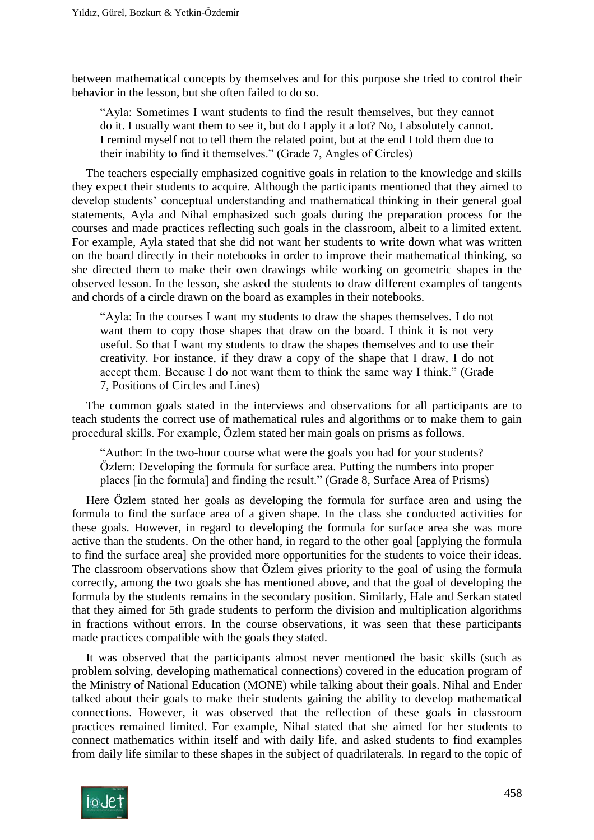between mathematical concepts by themselves and for this purpose she tried to control their behavior in the lesson, but she often failed to do so.

"Ayla: Sometimes I want students to find the result themselves, but they cannot do it. I usually want them to see it, but do I apply it a lot? No, I absolutely cannot. I remind myself not to tell them the related point, but at the end I told them due to their inability to find it themselves." (Grade 7, Angles of Circles)

The teachers especially emphasized cognitive goals in relation to the knowledge and skills they expect their students to acquire. Although the participants mentioned that they aimed to develop students' conceptual understanding and mathematical thinking in their general goal statements, Ayla and Nihal emphasized such goals during the preparation process for the courses and made practices reflecting such goals in the classroom, albeit to a limited extent. For example, Ayla stated that she did not want her students to write down what was written on the board directly in their notebooks in order to improve their mathematical thinking, so she directed them to make their own drawings while working on geometric shapes in the observed lesson. In the lesson, she asked the students to draw different examples of tangents and chords of a circle drawn on the board as examples in their notebooks.

"Ayla: In the courses I want my students to draw the shapes themselves. I do not want them to copy those shapes that draw on the board. I think it is not very useful. So that I want my students to draw the shapes themselves and to use their creativity. For instance, if they draw a copy of the shape that I draw, I do not accept them. Because I do not want them to think the same way I think." (Grade 7, Positions of Circles and Lines)

The common goals stated in the interviews and observations for all participants are to teach students the correct use of mathematical rules and algorithms or to make them to gain procedural skills. For example, Özlem stated her main goals on prisms as follows.

"Author: In the two-hour course what were the goals you had for your students? Özlem: Developing the formula for surface area. Putting the numbers into proper places [in the formula] and finding the result." (Grade 8, Surface Area of Prisms)

Here Özlem stated her goals as developing the formula for surface area and using the formula to find the surface area of a given shape. In the class she conducted activities for these goals. However, in regard to developing the formula for surface area she was more active than the students. On the other hand, in regard to the other goal [applying the formula to find the surface area] she provided more opportunities for the students to voice their ideas. The classroom observations show that Özlem gives priority to the goal of using the formula correctly, among the two goals she has mentioned above, and that the goal of developing the formula by the students remains in the secondary position. Similarly, Hale and Serkan stated that they aimed for 5th grade students to perform the division and multiplication algorithms in fractions without errors. In the course observations, it was seen that these participants made practices compatible with the goals they stated.

It was observed that the participants almost never mentioned the basic skills (such as problem solving, developing mathematical connections) covered in the education program of the Ministry of National Education (MONE) while talking about their goals. Nihal and Ender talked about their goals to make their students gaining the ability to develop mathematical connections. However, it was observed that the reflection of these goals in classroom practices remained limited. For example, Nihal stated that she aimed for her students to connect mathematics within itself and with daily life, and asked students to find examples from daily life similar to these shapes in the subject of quadrilaterals. In regard to the topic of

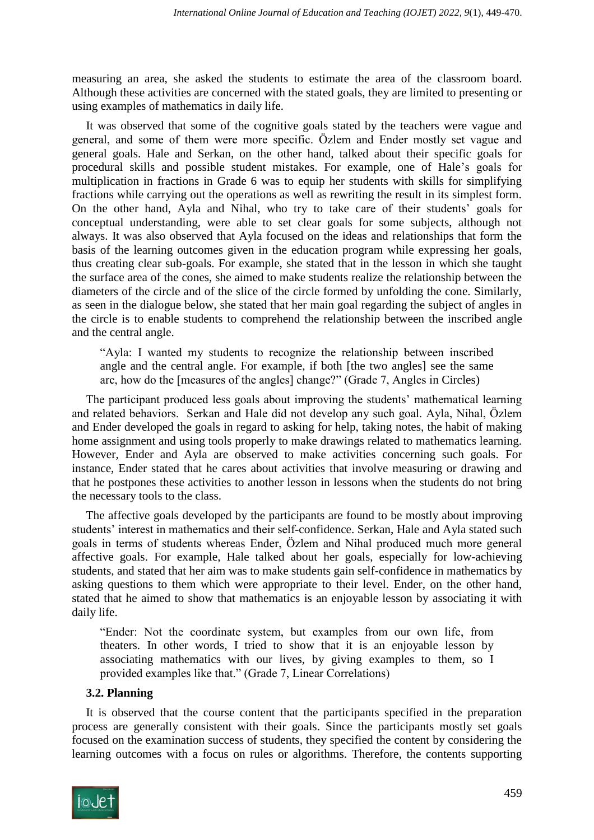measuring an area, she asked the students to estimate the area of the classroom board. Although these activities are concerned with the stated goals, they are limited to presenting or using examples of mathematics in daily life.

It was observed that some of the cognitive goals stated by the teachers were vague and general, and some of them were more specific. Özlem and Ender mostly set vague and general goals. Hale and Serkan, on the other hand, talked about their specific goals for procedural skills and possible student mistakes. For example, one of Hale's goals for multiplication in fractions in Grade 6 was to equip her students with skills for simplifying fractions while carrying out the operations as well as rewriting the result in its simplest form. On the other hand, Ayla and Nihal, who try to take care of their students' goals for conceptual understanding, were able to set clear goals for some subjects, although not always. It was also observed that Ayla focused on the ideas and relationships that form the basis of the learning outcomes given in the education program while expressing her goals, thus creating clear sub-goals. For example, she stated that in the lesson in which she taught the surface area of the cones, she aimed to make students realize the relationship between the diameters of the circle and of the slice of the circle formed by unfolding the cone. Similarly, as seen in the dialogue below, she stated that her main goal regarding the subject of angles in the circle is to enable students to comprehend the relationship between the inscribed angle and the central angle.

"Ayla: I wanted my students to recognize the relationship between inscribed angle and the central angle. For example, if both [the two angles] see the same arc, how do the [measures of the angles] change?" (Grade 7, Angles in Circles)

The participant produced less goals about improving the students' mathematical learning and related behaviors. Serkan and Hale did not develop any such goal. Ayla, Nihal, Özlem and Ender developed the goals in regard to asking for help, taking notes, the habit of making home assignment and using tools properly to make drawings related to mathematics learning. However, Ender and Ayla are observed to make activities concerning such goals. For instance, Ender stated that he cares about activities that involve measuring or drawing and that he postpones these activities to another lesson in lessons when the students do not bring the necessary tools to the class.

The affective goals developed by the participants are found to be mostly about improving students' interest in mathematics and their self-confidence. Serkan, Hale and Ayla stated such goals in terms of students whereas Ender, Özlem and Nihal produced much more general affective goals. For example, Hale talked about her goals, especially for low-achieving students, and stated that her aim was to make students gain self-confidence in mathematics by asking questions to them which were appropriate to their level. Ender, on the other hand, stated that he aimed to show that mathematics is an enjoyable lesson by associating it with daily life.

"Ender: Not the coordinate system, but examples from our own life, from theaters. In other words, I tried to show that it is an enjoyable lesson by associating mathematics with our lives, by giving examples to them, so I provided examples like that." (Grade 7, Linear Correlations)

#### **3.2. Planning**

It is observed that the course content that the participants specified in the preparation process are generally consistent with their goals. Since the participants mostly set goals focused on the examination success of students, they specified the content by considering the learning outcomes with a focus on rules or algorithms. Therefore, the contents supporting

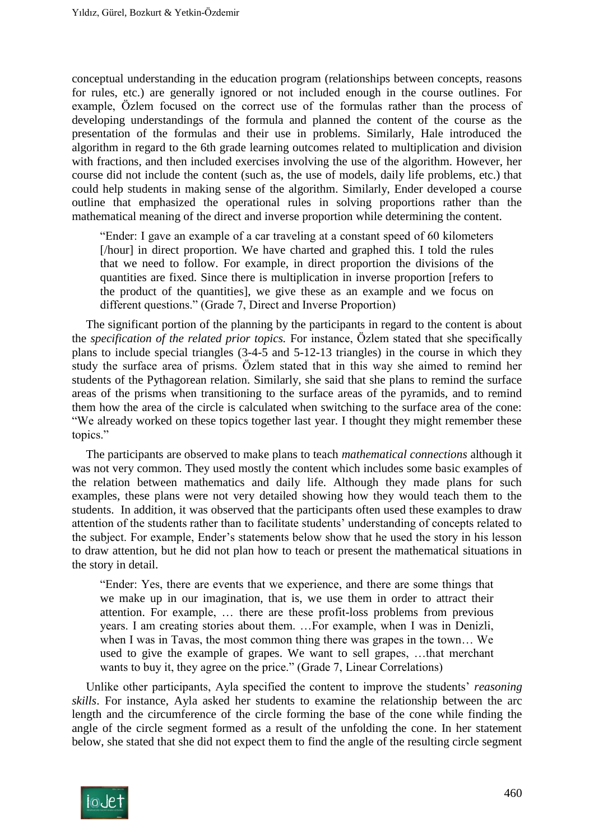conceptual understanding in the education program (relationships between concepts, reasons for rules, etc.) are generally ignored or not included enough in the course outlines. For example, Özlem focused on the correct use of the formulas rather than the process of developing understandings of the formula and planned the content of the course as the presentation of the formulas and their use in problems. Similarly, Hale introduced the algorithm in regard to the 6th grade learning outcomes related to multiplication and division with fractions, and then included exercises involving the use of the algorithm. However, her course did not include the content (such as, the use of models, daily life problems, etc.) that could help students in making sense of the algorithm. Similarly, Ender developed a course outline that emphasized the operational rules in solving proportions rather than the mathematical meaning of the direct and inverse proportion while determining the content.

"Ender: I gave an example of a car traveling at a constant speed of 60 kilometers [/hour] in direct proportion. We have charted and graphed this. I told the rules that we need to follow. For example, in direct proportion the divisions of the quantities are fixed. Since there is multiplication in inverse proportion [refers to the product of the quantities], we give these as an example and we focus on different questions." (Grade 7, Direct and Inverse Proportion)

The significant portion of the planning by the participants in regard to the content is about the *specification of the related prior topics.* For instance, Özlem stated that she specifically plans to include special triangles (3-4-5 and 5-12-13 triangles) in the course in which they study the surface area of prisms. Özlem stated that in this way she aimed to remind her students of the Pythagorean relation. Similarly, she said that she plans to remind the surface areas of the prisms when transitioning to the surface areas of the pyramids, and to remind them how the area of the circle is calculated when switching to the surface area of the cone: "We already worked on these topics together last year. I thought they might remember these topics."

The participants are observed to make plans to teach *mathematical connections* although it was not very common. They used mostly the content which includes some basic examples of the relation between mathematics and daily life. Although they made plans for such examples, these plans were not very detailed showing how they would teach them to the students. In addition, it was observed that the participants often used these examples to draw attention of the students rather than to facilitate students' understanding of concepts related to the subject. For example, Ender's statements below show that he used the story in his lesson to draw attention, but he did not plan how to teach or present the mathematical situations in the story in detail.

"Ender: Yes, there are events that we experience, and there are some things that we make up in our imagination, that is, we use them in order to attract their attention. For example, … there are these profit-loss problems from previous years. I am creating stories about them. …For example, when I was in Denizli, when I was in Tavas, the most common thing there was grapes in the town… We used to give the example of grapes. We want to sell grapes, …that merchant wants to buy it, they agree on the price." (Grade 7, Linear Correlations)

Unlike other participants, Ayla specified the content to improve the students' *reasoning skills*. For instance, Ayla asked her students to examine the relationship between the arc length and the circumference of the circle forming the base of the cone while finding the angle of the circle segment formed as a result of the unfolding the cone. In her statement below, she stated that she did not expect them to find the angle of the resulting circle segment

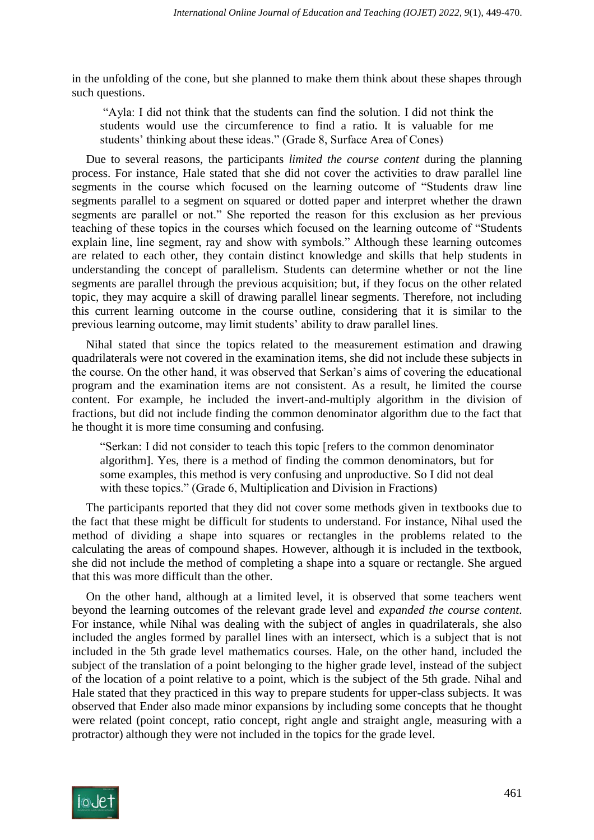in the unfolding of the cone, but she planned to make them think about these shapes through such questions.

"Ayla: I did not think that the students can find the solution. I did not think the students would use the circumference to find a ratio. It is valuable for me students' thinking about these ideas." (Grade 8, Surface Area of Cones)

Due to several reasons, the participants *limited the course content* during the planning process. For instance, Hale stated that she did not cover the activities to draw parallel line segments in the course which focused on the learning outcome of "Students draw line segments parallel to a segment on squared or dotted paper and interpret whether the drawn segments are parallel or not." She reported the reason for this exclusion as her previous teaching of these topics in the courses which focused on the learning outcome of "Students explain line, line segment, ray and show with symbols." Although these learning outcomes are related to each other, they contain distinct knowledge and skills that help students in understanding the concept of parallelism. Students can determine whether or not the line segments are parallel through the previous acquisition; but, if they focus on the other related topic, they may acquire a skill of drawing parallel linear segments. Therefore, not including this current learning outcome in the course outline, considering that it is similar to the previous learning outcome, may limit students' ability to draw parallel lines.

Nihal stated that since the topics related to the measurement estimation and drawing quadrilaterals were not covered in the examination items, she did not include these subjects in the course. On the other hand, it was observed that Serkan's aims of covering the educational program and the examination items are not consistent. As a result, he limited the course content. For example, he included the invert-and-multiply algorithm in the division of fractions, but did not include finding the common denominator algorithm due to the fact that he thought it is more time consuming and confusing.

"Serkan: I did not consider to teach this topic [refers to the common denominator algorithm]. Yes, there is a method of finding the common denominators, but for some examples, this method is very confusing and unproductive. So I did not deal with these topics." (Grade 6, Multiplication and Division in Fractions)

The participants reported that they did not cover some methods given in textbooks due to the fact that these might be difficult for students to understand. For instance, Nihal used the method of dividing a shape into squares or rectangles in the problems related to the calculating the areas of compound shapes. However, although it is included in the textbook, she did not include the method of completing a shape into a square or rectangle. She argued that this was more difficult than the other.

On the other hand, although at a limited level, it is observed that some teachers went beyond the learning outcomes of the relevant grade level and *expanded the course content*. For instance, while Nihal was dealing with the subject of angles in quadrilaterals, she also included the angles formed by parallel lines with an intersect, which is a subject that is not included in the 5th grade level mathematics courses. Hale, on the other hand, included the subject of the translation of a point belonging to the higher grade level, instead of the subject of the location of a point relative to a point, which is the subject of the 5th grade. Nihal and Hale stated that they practiced in this way to prepare students for upper-class subjects. It was observed that Ender also made minor expansions by including some concepts that he thought were related (point concept, ratio concept, right angle and straight angle, measuring with a protractor) although they were not included in the topics for the grade level.

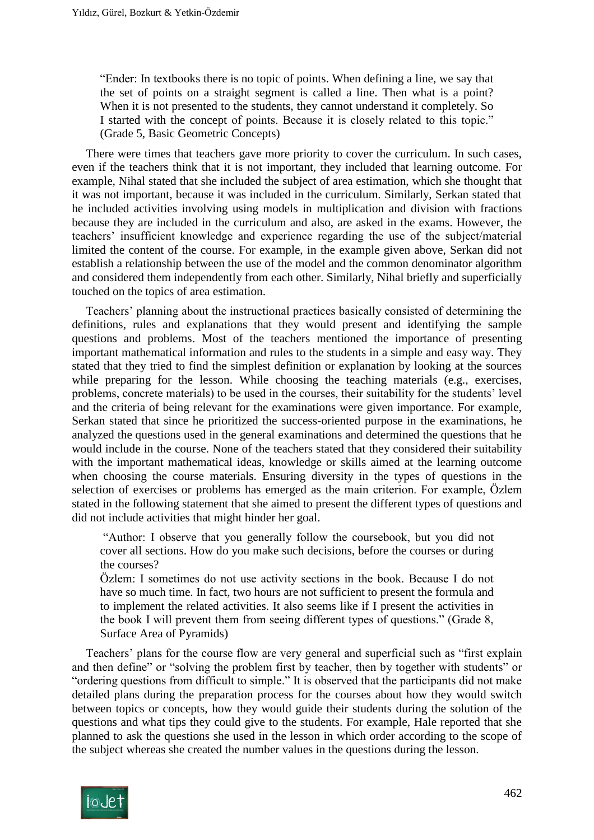"Ender: In textbooks there is no topic of points. When defining a line, we say that the set of points on a straight segment is called a line. Then what is a point? When it is not presented to the students, they cannot understand it completely. So I started with the concept of points. Because it is closely related to this topic." (Grade 5, Basic Geometric Concepts)

There were times that teachers gave more priority to cover the curriculum. In such cases, even if the teachers think that it is not important, they included that learning outcome. For example, Nihal stated that she included the subject of area estimation, which she thought that it was not important, because it was included in the curriculum. Similarly, Serkan stated that he included activities involving using models in multiplication and division with fractions because they are included in the curriculum and also, are asked in the exams. However, the teachers' insufficient knowledge and experience regarding the use of the subject/material limited the content of the course. For example, in the example given above, Serkan did not establish a relationship between the use of the model and the common denominator algorithm and considered them independently from each other. Similarly, Nihal briefly and superficially touched on the topics of area estimation.

Teachers' planning about the instructional practices basically consisted of determining the definitions, rules and explanations that they would present and identifying the sample questions and problems. Most of the teachers mentioned the importance of presenting important mathematical information and rules to the students in a simple and easy way. They stated that they tried to find the simplest definition or explanation by looking at the sources while preparing for the lesson. While choosing the teaching materials (e.g., exercises, problems, concrete materials) to be used in the courses, their suitability for the students' level and the criteria of being relevant for the examinations were given importance. For example, Serkan stated that since he prioritized the success-oriented purpose in the examinations, he analyzed the questions used in the general examinations and determined the questions that he would include in the course. None of the teachers stated that they considered their suitability with the important mathematical ideas, knowledge or skills aimed at the learning outcome when choosing the course materials. Ensuring diversity in the types of questions in the selection of exercises or problems has emerged as the main criterion. For example, Özlem stated in the following statement that she aimed to present the different types of questions and did not include activities that might hinder her goal.

"Author: I observe that you generally follow the coursebook, but you did not cover all sections. How do you make such decisions, before the courses or during the courses?

Özlem: I sometimes do not use activity sections in the book. Because I do not have so much time. In fact, two hours are not sufficient to present the formula and to implement the related activities. It also seems like if I present the activities in the book I will prevent them from seeing different types of questions." (Grade 8, Surface Area of Pyramids)

Teachers' plans for the course flow are very general and superficial such as "first explain and then define" or "solving the problem first by teacher, then by together with students" or "ordering questions from difficult to simple." It is observed that the participants did not make detailed plans during the preparation process for the courses about how they would switch between topics or concepts, how they would guide their students during the solution of the questions and what tips they could give to the students. For example, Hale reported that she planned to ask the questions she used in the lesson in which order according to the scope of the subject whereas she created the number values in the questions during the lesson.

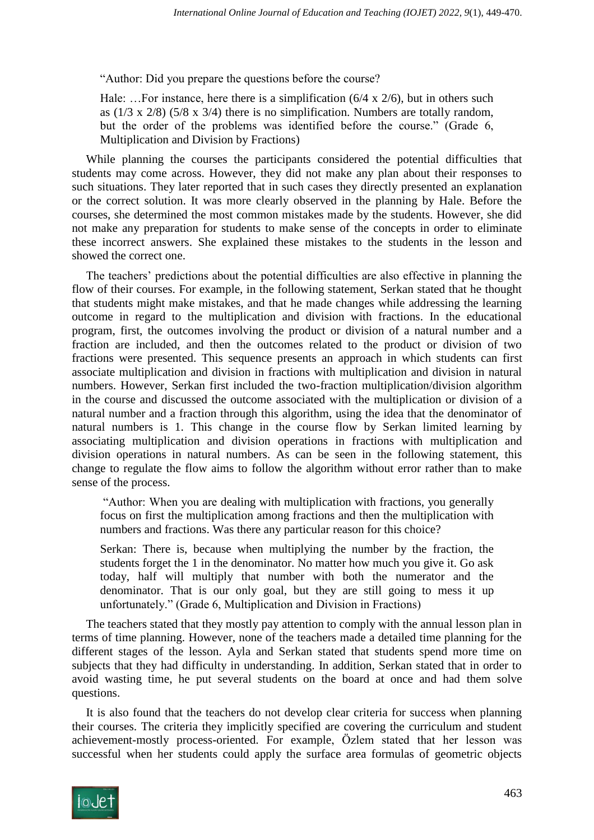"Author: Did you prepare the questions before the course?

Hale: ... For instance, here there is a simplification  $(6/4 \times 2/6)$ , but in others such as (1/3 x 2/8) (5/8 x 3/4) there is no simplification. Numbers are totally random, but the order of the problems was identified before the course." (Grade 6, Multiplication and Division by Fractions)

While planning the courses the participants considered the potential difficulties that students may come across. However, they did not make any plan about their responses to such situations. They later reported that in such cases they directly presented an explanation or the correct solution. It was more clearly observed in the planning by Hale. Before the courses, she determined the most common mistakes made by the students. However, she did not make any preparation for students to make sense of the concepts in order to eliminate these incorrect answers. She explained these mistakes to the students in the lesson and showed the correct one.

The teachers' predictions about the potential difficulties are also effective in planning the flow of their courses. For example, in the following statement, Serkan stated that he thought that students might make mistakes, and that he made changes while addressing the learning outcome in regard to the multiplication and division with fractions. In the educational program, first, the outcomes involving the product or division of a natural number and a fraction are included, and then the outcomes related to the product or division of two fractions were presented. This sequence presents an approach in which students can first associate multiplication and division in fractions with multiplication and division in natural numbers. However, Serkan first included the two-fraction multiplication/division algorithm in the course and discussed the outcome associated with the multiplication or division of a natural number and a fraction through this algorithm, using the idea that the denominator of natural numbers is 1. This change in the course flow by Serkan limited learning by associating multiplication and division operations in fractions with multiplication and division operations in natural numbers. As can be seen in the following statement, this change to regulate the flow aims to follow the algorithm without error rather than to make sense of the process.

"Author: When you are dealing with multiplication with fractions, you generally focus on first the multiplication among fractions and then the multiplication with numbers and fractions. Was there any particular reason for this choice?

Serkan: There is, because when multiplying the number by the fraction, the students forget the 1 in the denominator. No matter how much you give it. Go ask today, half will multiply that number with both the numerator and the denominator. That is our only goal, but they are still going to mess it up unfortunately." (Grade 6, Multiplication and Division in Fractions)

The teachers stated that they mostly pay attention to comply with the annual lesson plan in terms of time planning. However, none of the teachers made a detailed time planning for the different stages of the lesson. Ayla and Serkan stated that students spend more time on subjects that they had difficulty in understanding. In addition, Serkan stated that in order to avoid wasting time, he put several students on the board at once and had them solve questions.

It is also found that the teachers do not develop clear criteria for success when planning their courses. The criteria they implicitly specified are covering the curriculum and student achievement-mostly process-oriented. For example, Özlem stated that her lesson was successful when her students could apply the surface area formulas of geometric objects

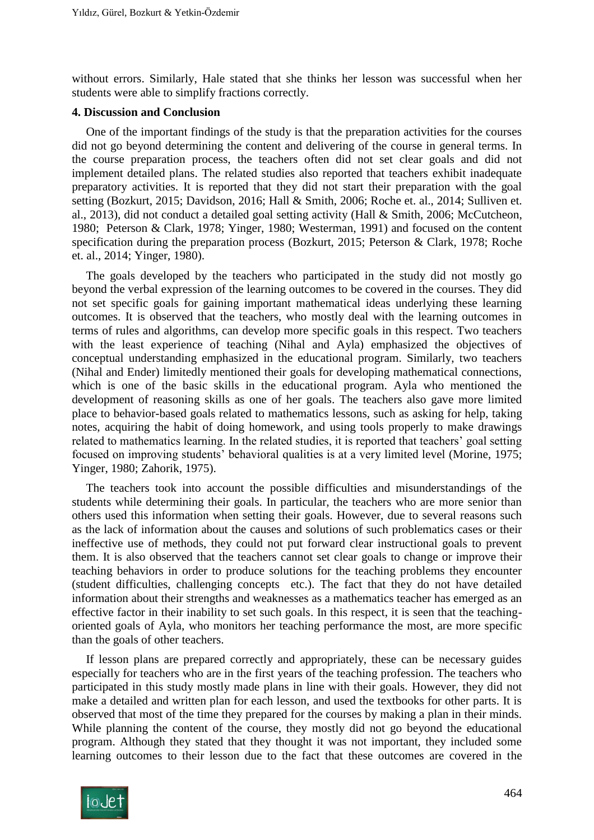without errors. Similarly, Hale stated that she thinks her lesson was successful when her students were able to simplify fractions correctly.

#### **4. Discussion and Conclusion**

One of the important findings of the study is that the preparation activities for the courses did not go beyond determining the content and delivering of the course in general terms. In the course preparation process, the teachers often did not set clear goals and did not implement detailed plans. The related studies also reported that teachers exhibit inadequate preparatory activities. It is reported that they did not start their preparation with the goal setting (Bozkurt, 2015; Davidson, 2016; [Hall & Smith, 2006;](#page-19-1) Roche et. al., 2014; Sulliven et. al., 2013), did not conduct a detailed goal setting activity [\(Hall & Smith, 2006;](#page-19-1) [McCutcheon,](#page-19-2)  [1980;](#page-19-2) [Peterson & Clark, 1978;](#page-20-0) Yinger, 1980; [Westerman, 1991\)](#page-21-0) and focused on the content specification during the preparation process (Bozkurt, 2015; [Peterson & Clark, 1978;](#page-20-0) Roche et. al., 2014; Yinger, 1980).

The goals developed by the teachers who participated in the study did not mostly go beyond the verbal expression of the learning outcomes to be covered in the courses. They did not set specific goals for gaining important mathematical ideas underlying these learning outcomes. It is observed that the teachers, who mostly deal with the learning outcomes in terms of rules and algorithms, can develop more specific goals in this respect. Two teachers with the least experience of teaching (Nihal and Ayla) emphasized the objectives of conceptual understanding emphasized in the educational program. Similarly, two teachers (Nihal and Ender) limitedly mentioned their goals for developing mathematical connections, which is one of the basic skills in the educational program. Ayla who mentioned the development of reasoning skills as one of her goals. The teachers also gave more limited place to behavior-based goals related to mathematics lessons, such as asking for help, taking notes, acquiring the habit of doing homework, and using tools properly to make drawings related to mathematics learning. In the related studies, it is reported that teachers' goal setting focused on improving students' behavioral qualities is at a very limited level (Morine, 1975; Yinger, 1980; [Zahorik, 1975\)](#page-21-1).

The teachers took into account the possible difficulties and misunderstandings of the students while determining their goals. In particular, the teachers who are more senior than others used this information when setting their goals. However, due to several reasons such as the lack of information about the causes and solutions of such problematics cases or their ineffective use of methods, they could not put forward clear instructional goals to prevent them. It is also observed that the teachers cannot set clear goals to change or improve their teaching behaviors in order to produce solutions for the teaching problems they encounter (student difficulties, challenging concepts etc.). The fact that they do not have detailed information about their strengths and weaknesses as a mathematics teacher has emerged as an effective factor in their inability to set such goals. In this respect, it is seen that the teachingoriented goals of Ayla, who monitors her teaching performance the most, are more specific than the goals of other teachers.

If lesson plans are prepared correctly and appropriately, these can be necessary guides especially for teachers who are in the first years of the teaching profession. The teachers who participated in this study mostly made plans in line with their goals. However, they did not make a detailed and written plan for each lesson, and used the textbooks for other parts. It is observed that most of the time they prepared for the courses by making a plan in their minds. While planning the content of the course, they mostly did not go beyond the educational program. Although they stated that they thought it was not important, they included some learning outcomes to their lesson due to the fact that these outcomes are covered in the

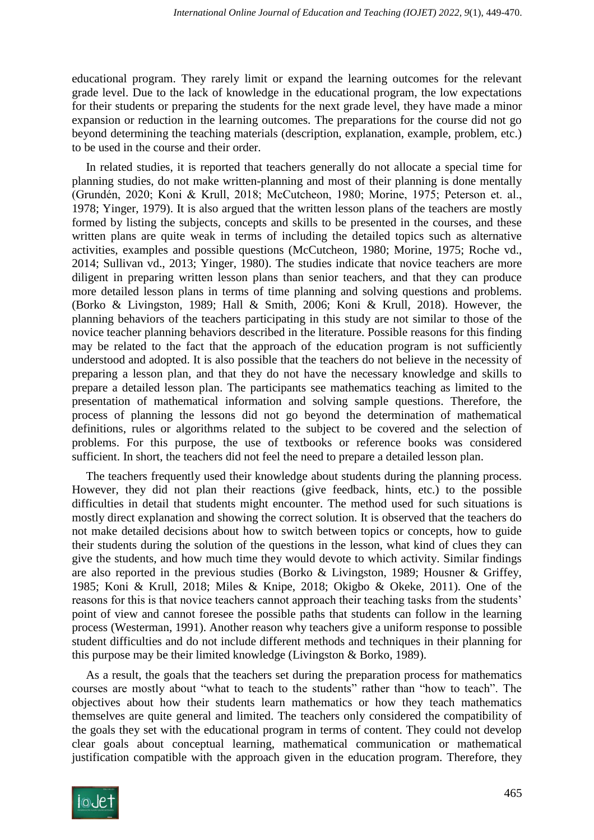educational program. They rarely limit or expand the learning outcomes for the relevant grade level. Due to the lack of knowledge in the educational program, the low expectations for their students or preparing the students for the next grade level, they have made a minor expansion or reduction in the learning outcomes. The preparations for the course did not go beyond determining the teaching materials (description, explanation, example, problem, etc.) to be used in the course and their order.

In related studies, it is reported that teachers generally do not allocate a special time for planning studies, do not make written-planning and most of their planning is done mentally (Grundén, 2020; Koni & Krull, 2018; McCutcheon, 1980; Morine, 1975; Peterson et. al., 1978; Yinger, 1979). It is also argued that the written lesson plans of the teachers are mostly formed by listing the subjects, concepts and skills to be presented in the courses, and these written plans are quite weak in terms of including the detailed topics such as alternative activities, examples and possible questions (McCutcheon, 1980; Morine, 1975; Roche vd., 2014; Sullivan vd., 2013; Yinger, 1980). The studies indicate that novice teachers are more diligent in preparing written lesson plans than senior teachers, and that they can produce more detailed lesson plans in terms of time planning and solving questions and problems. (Borko & Livingston, 1989; Hall & Smith, 2006; Koni & Krull, 2018). However, the planning behaviors of the teachers participating in this study are not similar to those of the novice teacher planning behaviors described in the literature. Possible reasons for this finding may be related to the fact that the approach of the education program is not sufficiently understood and adopted. It is also possible that the teachers do not believe in the necessity of preparing a lesson plan, and that they do not have the necessary knowledge and skills to prepare a detailed lesson plan. The participants see mathematics teaching as limited to the presentation of mathematical information and solving sample questions. Therefore, the process of planning the lessons did not go beyond the determination of mathematical definitions, rules or algorithms related to the subject to be covered and the selection of problems. For this purpose, the use of textbooks or reference books was considered sufficient. In short, the teachers did not feel the need to prepare a detailed lesson plan.

The teachers frequently used their knowledge about students during the planning process. However, they did not plan their reactions (give feedback, hints, etc.) to the possible difficulties in detail that students might encounter. The method used for such situations is mostly direct explanation and showing the correct solution. It is observed that the teachers do not make detailed decisions about how to switch between topics or concepts, how to guide their students during the solution of the questions in the lesson, what kind of clues they can give the students, and how much time they would devote to which activity. Similar findings are also reported in the previous studies (Borko & Livingston, 1989; Housner & Griffey, 1985; Koni & Krull, 2018; Miles & Knipe, 2018; Okigbo & Okeke, 2011). One of the reasons for this is that novice teachers cannot approach their teaching tasks from the students' point of view and cannot foresee the possible paths that students can follow in the learning process [\(Westerman, 1991\)](#page-21-0). Another reason why teachers give a uniform response to possible student difficulties and do not include different methods and techniques in their planning for this purpose may be their limited knowledge [\(Livingston & Borko, 1989\)](#page-20-1).

As a result, the goals that the teachers set during the preparation process for mathematics courses are mostly about "what to teach to the students" rather than "how to teach". The objectives about how their students learn mathematics or how they teach mathematics themselves are quite general and limited. The teachers only considered the compatibility of the goals they set with the educational program in terms of content. They could not develop clear goals about conceptual learning, mathematical communication or mathematical justification compatible with the approach given in the education program. Therefore, they

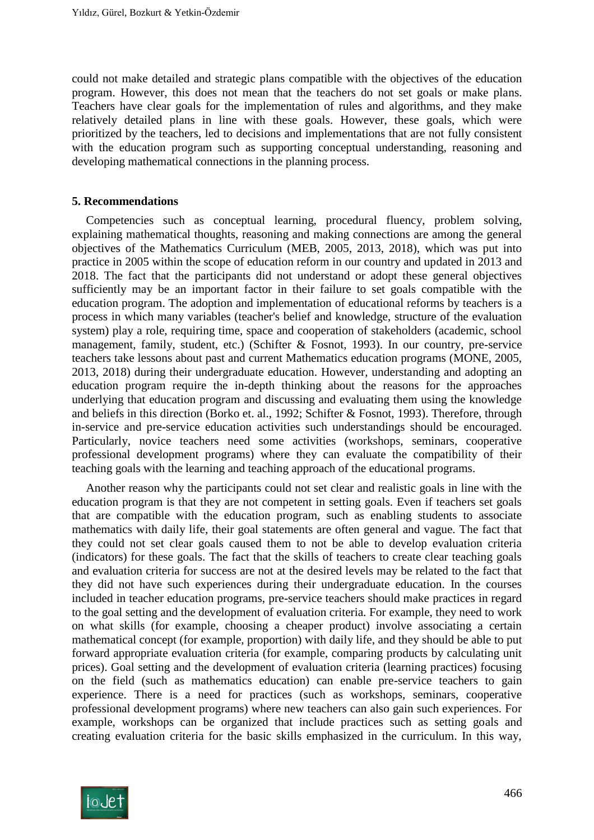could not make detailed and strategic plans compatible with the objectives of the education program. However, this does not mean that the teachers do not set goals or make plans. Teachers have clear goals for the implementation of rules and algorithms, and they make relatively detailed plans in line with these goals. However, these goals, which were prioritized by the teachers, led to decisions and implementations that are not fully consistent with the education program such as supporting conceptual understanding, reasoning and developing mathematical connections in the planning process.

#### **5. Recommendations**

Competencies such as conceptual learning, procedural fluency, problem solving, explaining mathematical thoughts, reasoning and making connections are among the general objectives of the Mathematics Curriculum (MEB, 2005, 2013, 2018), which was put into practice in 2005 within the scope of education reform in our country and updated in 2013 and 2018. The fact that the participants did not understand or adopt these general objectives sufficiently may be an important factor in their failure to set goals compatible with the education program. The adoption and implementation of educational reforms by teachers is a process in which many variables (teacher's belief and knowledge, structure of the evaluation system) play a role, requiring time, space and cooperation of stakeholders (academic, school management, family, student, etc.) [\(Schifter & Fosnot, 1993\)](#page-21-2). In our country, pre-service teachers take lessons about past and current Mathematics education programs (MONE, 2005, 2013, 2018) during their undergraduate education. However, understanding and adopting an education program require the in-depth thinking about the reasons for the approaches underlying that education program and discussing and evaluating them using the knowledge and beliefs in this direction [\(Borko et. al., 1992;](#page-19-3) [Schifter & Fosnot, 1993\)](#page-21-2). Therefore, through in-service and pre-service education activities such understandings should be encouraged. Particularly, novice teachers need some activities (workshops, seminars, cooperative professional development programs) where they can evaluate the compatibility of their teaching goals with the learning and teaching approach of the educational programs.

Another reason why the participants could not set clear and realistic goals in line with the education program is that they are not competent in setting goals. Even if teachers set goals that are compatible with the education program, such as enabling students to associate mathematics with daily life, their goal statements are often general and vague. The fact that they could not set clear goals caused them to not be able to develop evaluation criteria (indicators) for these goals. The fact that the skills of teachers to create clear teaching goals and evaluation criteria for success are not at the desired levels may be related to the fact that they did not have such experiences during their undergraduate education. In the courses included in teacher education programs, pre-service teachers should make practices in regard to the goal setting and the development of evaluation criteria. For example, they need to work on what skills (for example, choosing a cheaper product) involve associating a certain mathematical concept (for example, proportion) with daily life, and they should be able to put forward appropriate evaluation criteria (for example, comparing products by calculating unit prices). Goal setting and the development of evaluation criteria (learning practices) focusing on the field (such as mathematics education) can enable pre-service teachers to gain experience. There is a need for practices (such as workshops, seminars, cooperative professional development programs) where new teachers can also gain such experiences. For example, workshops can be organized that include practices such as setting goals and creating evaluation criteria for the basic skills emphasized in the curriculum. In this way,

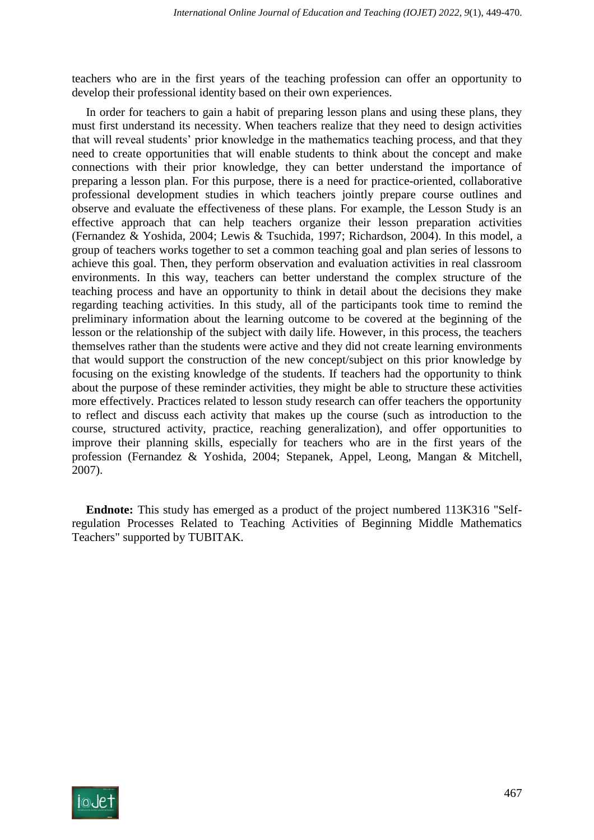teachers who are in the first years of the teaching profession can offer an opportunity to develop their professional identity based on their own experiences.

In order for teachers to gain a habit of preparing lesson plans and using these plans, they must first understand its necessity. When teachers realize that they need to design activities that will reveal students' prior knowledge in the mathematics teaching process, and that they need to create opportunities that will enable students to think about the concept and make connections with their prior knowledge, they can better understand the importance of preparing a lesson plan. For this purpose, there is a need for practice-oriented, collaborative professional development studies in which teachers jointly prepare course outlines and observe and evaluate the effectiveness of these plans. For example, the Lesson Study is an effective approach that can help teachers organize their lesson preparation activities [\(Fernandez & Yoshida, 2004;](#page-19-4) Lewis & Tsuchida, 1997; [Richardson, 2004\)](#page-20-2). In this model, a group of teachers works together to set a common teaching goal and plan series of lessons to achieve this goal. Then, they perform observation and evaluation activities in real classroom environments. In this way, teachers can better understand the complex structure of the teaching process and have an opportunity to think in detail about the decisions they make regarding teaching activities. In this study, all of the participants took time to remind the preliminary information about the learning outcome to be covered at the beginning of the lesson or the relationship of the subject with daily life. However, in this process, the teachers themselves rather than the students were active and they did not create learning environments that would support the construction of the new concept/subject on this prior knowledge by focusing on the existing knowledge of the students. If teachers had the opportunity to think about the purpose of these reminder activities, they might be able to structure these activities more effectively. Practices related to lesson study research can offer teachers the opportunity to reflect and discuss each activity that makes up the course (such as introduction to the course, structured activity, practice, reaching generalization), and offer opportunities to improve their planning skills, especially for teachers who are in the first years of the profession [\(Fernandez & Yoshida, 2004;](#page-19-4) [Stepanek, Appel, Leong, Mangan & Mitchell,](#page-21-3)  [2007\)](#page-21-3).

**Endnote:** This study has emerged as a product of the project numbered 113K316 "Selfregulation Processes Related to Teaching Activities of Beginning Middle Mathematics Teachers" supported by TUBITAK.

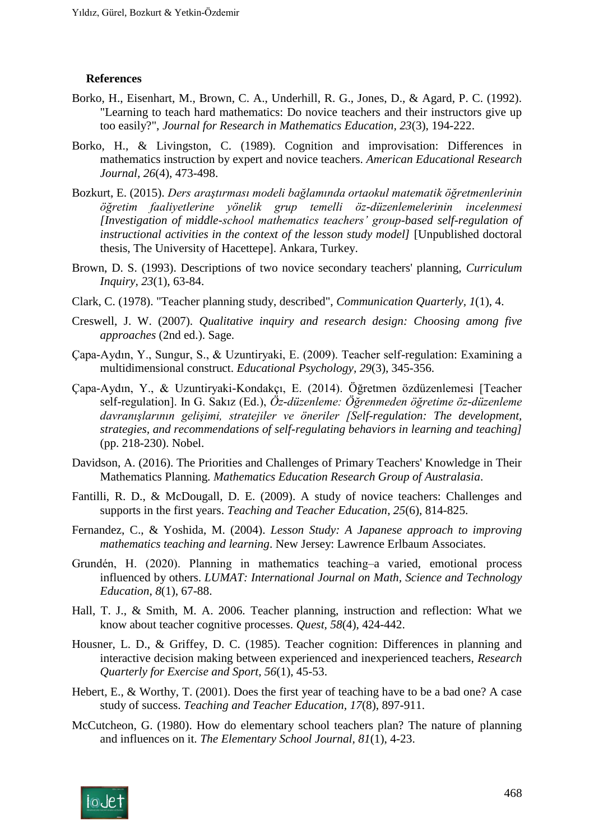#### **References**

- Borko, H., Eisenhart, M., Brown, C. A., Underhill, R. G., Jones, D., & Agard, P. C. (1992). "Learning to teach hard mathematics: Do novice teachers and their instructors give up too easily?", *Journal for Research in Mathematics Education, 23*(3), 194-222.
- Borko, H., & Livingston, C. (1989). Cognition and improvisation: Differences in mathematics instruction by expert and novice teachers. *American Educational Research Journal, 26*(4), 473-498.
- <span id="page-19-0"></span>Bozkurt, E. (2015). *Ders araştırması modeli bağlamında ortaokul matematik öğretmenlerinin öğretim faaliyetlerine yönelik grup temelli öz-düzenlemelerinin incelenmesi [Investigation of middle-school mathematics teachers' group-based self-regulation of instructional activities in the context of the lesson study model]* [Unpublished doctoral thesis, The University of Hacettepe]. Ankara, Turkey.
- <span id="page-19-3"></span>Brown, D. S. (1993). Descriptions of two novice secondary teachers' planning, *Curriculum Inquiry, 23*(1), 63-84.
- Clark, C. (1978). "Teacher planning study, described", *Communication Quarterly, 1*(1), 4.
- Creswell, J. W. (2007). *Qualitative inquiry and research design: Choosing among five approaches* (2nd ed.). Sage.
- Çapa-Aydın, Y., Sungur, S., & Uzuntiryaki, E. (2009). Teacher self-regulation: Examining a multidimensional construct. *Educational Psychology, 29*(3), 345-356.
- Çapa-Aydın, Y., & Uzuntiryaki-Kondakçı, E. (2014). Öğretmen özdüzenlemesi [Teacher self-regulation]. In G. Sakız (Ed.), *Öz-düzenleme: Öğrenmeden öğretime öz-düzenleme davranışlarının gelişimi, stratejiler ve öneriler [Self-regulation: The development, strategies, and recommendations of self-regulating behaviors in learning and teaching]* (pp. 218-230). Nobel.
- Davidson, A. (2016). The Priorities and Challenges of Primary Teachers' Knowledge in Their Mathematics Planning. *Mathematics Education Research Group of Australasia*.
- Fantilli, R. D., & McDougall, D. E. (2009). A study of novice teachers: Challenges and supports in the first years. *Teaching and Teacher Education*, *25*(6), 814-825.
- <span id="page-19-4"></span>Fernandez, C., & Yoshida, M. (2004). *Lesson Study: A Japanese approach to improving mathematics teaching and learning*. New Jersey: Lawrence Erlbaum Associates.
- Grundén, H. (2020). Planning in mathematics teaching–a varied, emotional process influenced by others. *LUMAT: International Journal on Math, Science and Technology Education*, *8*(1), 67-88.
- <span id="page-19-1"></span>Hall, T. J., & Smith, M. A. 2006. Teacher planning, instruction and reflection: What we know about teacher cognitive processes. *Quest, 58*(4), 424-442.
- Housner, L. D., & Griffey, D. C. (1985). Teacher cognition: Differences in planning and interactive decision making between experienced and inexperienced teachers, *Research Quarterly for Exercise and Sport, 56*(1), 45-53.
- Hebert, E., & Worthy, T. (2001). Does the first year of teaching have to be a bad one? A case study of success. *Teaching and Teacher Education, 17*(8), 897-911.
- <span id="page-19-2"></span>McCutcheon, G. (1980). How do elementary school teachers plan? The nature of planning and influences on it. *The Elementary School Journal, 81*(1), 4-23.

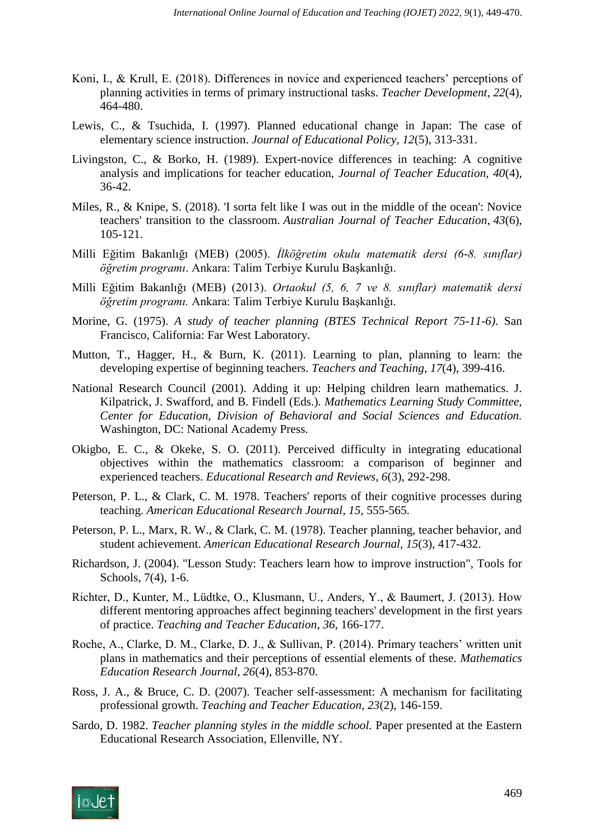- Koni, I., & Krull, E. (2018). Differences in novice and experienced teachers' perceptions of planning activities in terms of primary instructional tasks. *Teacher Development*, *22*(4), 464-480.
- Lewis, C., & Tsuchida, I. (1997). Planned educational change in Japan: The case of elementary science instruction. *Journal of Educational Policy, 12*(5), 313-331.
- <span id="page-20-1"></span>Livingston, C., & Borko, H. (1989). Expert-novice differences in teaching: A cognitive analysis and implications for teacher education, *Journal of Teacher Education, 40*(4), 36-42.
- Miles, R., & Knipe, S. (2018). 'I sorta felt like I was out in the middle of the ocean': Novice teachers' transition to the classroom. *Australian Journal of Teacher Education*, *43*(6), 105-121.
- Milli Eğitim Bakanlığı (MEB) (2005). *İlköğretim okulu matematik dersi (6-8. sınıflar) öğretim programı*. Ankara: Talim Terbiye Kurulu Başkanlığı.
- Milli Eğitim Bakanlığı (MEB) (2013). *Ortaokul (5, 6, 7 ve 8. sınıflar) matematik dersi öğretim programı.* Ankara: Talim Terbiye Kurulu Başkanlığı.
- Morine, G. (1975). *A study of teacher planning (BTES Technical Report 75-11-6)*. San Francisco, California: Far West Laboratory.
- Mutton, T., Hagger, H., & Burn, K. (2011). Learning to plan, planning to learn: the developing expertise of beginning teachers. *Teachers and Teaching*, *17*(4), 399-416.
- National Research Council (2001). Adding it up: Helping children learn mathematics. J. Kilpatrick, J. Swafford, and B. Findell (Eds.). *Mathematics Learning Study Committee, Center for Education, Division of Behavioral and Social Sciences and Education.* Washington, DC: National Academy Press.
- Okigbo, E. C., & Okeke, S. O. (2011). Perceived difficulty in integrating educational objectives within the mathematics classroom: a comparison of beginner and experienced teachers. *Educational Research and Reviews*, *6*(3), 292-298.
- <span id="page-20-0"></span>Peterson, P. L., & Clark, C. M. 1978. Teachers' reports of their cognitive processes during teaching. *American Educational Research Journal, 15,* 555-565.
- Peterson, P. L., Marx, R. W., & Clark, C. M. (1978). Teacher planning, teacher behavior, and student achievement. *American Educational Research Journal, 15*(3), 417-432.
- <span id="page-20-2"></span>Richardson, J. (2004). "Lesson Study: Teachers learn how to improve instruction", Tools for Schools*,* 7(4), 1-6.
- Richter, D., Kunter, M., Lüdtke, O., Klusmann, U., Anders, Y., & Baumert, J. (2013). How different mentoring approaches affect beginning teachers' development in the first years of practice. *Teaching and Teacher Education*, *36*, 166-177.
- Roche, A., Clarke, D. M., Clarke, D. J., & Sullivan, P. (2014). Primary teachers' written unit plans in mathematics and their perceptions of essential elements of these. *Mathematics Education Research Journal, 26*(4), 853-870.
- Ross, J. A., & Bruce, C. D. (2007). Teacher self-assessment: A mechanism for facilitating professional growth. *Teaching and Teacher Education, 23*(2), 146-159.
- Sardo, D. 1982. *Teacher planning styles in the middle school.* Paper presented at the Eastern Educational Research Association, Ellenville, NY.